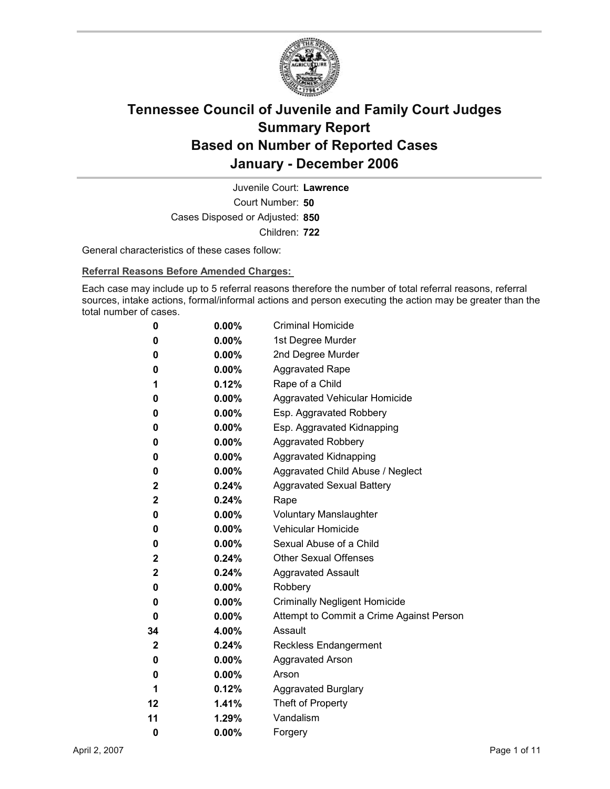

Court Number: **50** Juvenile Court: **Lawrence** Cases Disposed or Adjusted: **850** Children: **722**

General characteristics of these cases follow:

**Referral Reasons Before Amended Charges:** 

Each case may include up to 5 referral reasons therefore the number of total referral reasons, referral sources, intake actions, formal/informal actions and person executing the action may be greater than the total number of cases.

| 0           | $0.00\%$ | <b>Criminal Homicide</b>                 |
|-------------|----------|------------------------------------------|
| 0           | $0.00\%$ | 1st Degree Murder                        |
| 0           | $0.00\%$ | 2nd Degree Murder                        |
| 0           | $0.00\%$ | <b>Aggravated Rape</b>                   |
| 1           | 0.12%    | Rape of a Child                          |
| 0           | $0.00\%$ | Aggravated Vehicular Homicide            |
| 0           | $0.00\%$ | Esp. Aggravated Robbery                  |
| 0           | $0.00\%$ | Esp. Aggravated Kidnapping               |
| 0           | $0.00\%$ | <b>Aggravated Robbery</b>                |
| 0           | $0.00\%$ | <b>Aggravated Kidnapping</b>             |
| 0           | $0.00\%$ | Aggravated Child Abuse / Neglect         |
| $\mathbf 2$ | $0.24\%$ | <b>Aggravated Sexual Battery</b>         |
| $\mathbf 2$ | $0.24\%$ | Rape                                     |
| 0           | $0.00\%$ | <b>Voluntary Manslaughter</b>            |
| 0           | $0.00\%$ | <b>Vehicular Homicide</b>                |
| 0           | $0.00\%$ | Sexual Abuse of a Child                  |
| 2           | $0.24\%$ | <b>Other Sexual Offenses</b>             |
| $\mathbf 2$ | $0.24\%$ | <b>Aggravated Assault</b>                |
| 0           | $0.00\%$ | Robbery                                  |
| 0           | $0.00\%$ | <b>Criminally Negligent Homicide</b>     |
| 0           | $0.00\%$ | Attempt to Commit a Crime Against Person |
| 34          | 4.00%    | Assault                                  |
| $\mathbf 2$ | $0.24\%$ | Reckless Endangerment                    |
| 0           | $0.00\%$ | <b>Aggravated Arson</b>                  |
| 0           | $0.00\%$ | Arson                                    |
| 1           | 0.12%    | <b>Aggravated Burglary</b>               |
| 12          | 1.41%    | Theft of Property                        |
| 11          | 1.29%    | Vandalism                                |
| 0           | 0.00%    | Forgery                                  |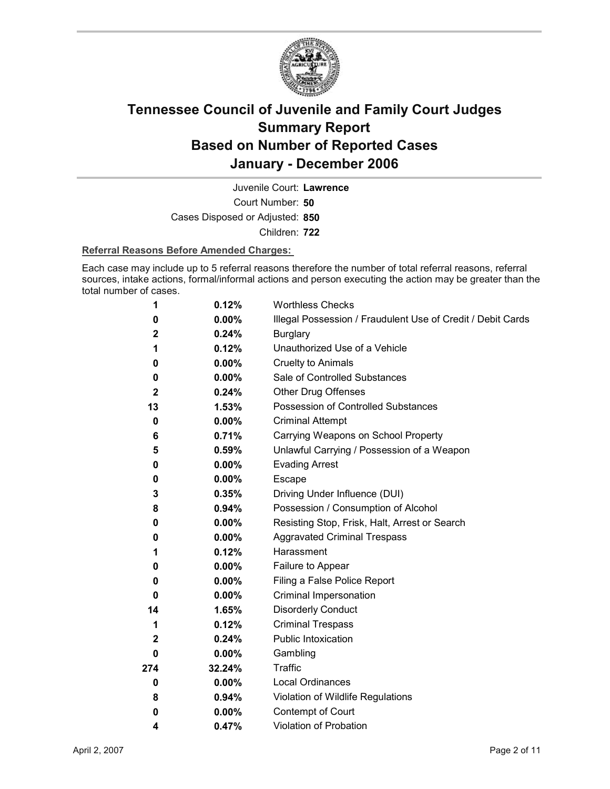

Court Number: **50** Juvenile Court: **Lawrence** Cases Disposed or Adjusted: **850**

Children: **722**

### **Referral Reasons Before Amended Charges:**

Each case may include up to 5 referral reasons therefore the number of total referral reasons, referral sources, intake actions, formal/informal actions and person executing the action may be greater than the total number of cases.

| 1            | 0.12%    | <b>Worthless Checks</b>                                     |
|--------------|----------|-------------------------------------------------------------|
| 0            | $0.00\%$ | Illegal Possession / Fraudulent Use of Credit / Debit Cards |
| $\mathbf 2$  | 0.24%    | <b>Burglary</b>                                             |
| 1            | 0.12%    | Unauthorized Use of a Vehicle                               |
| 0            | $0.00\%$ | <b>Cruelty to Animals</b>                                   |
| 0            | $0.00\%$ | Sale of Controlled Substances                               |
| $\mathbf{2}$ | 0.24%    | <b>Other Drug Offenses</b>                                  |
| 13           | 1.53%    | Possession of Controlled Substances                         |
| 0            | 0.00%    | <b>Criminal Attempt</b>                                     |
| 6            | 0.71%    | Carrying Weapons on School Property                         |
| 5            | 0.59%    | Unlawful Carrying / Possession of a Weapon                  |
| 0            | $0.00\%$ | <b>Evading Arrest</b>                                       |
| 0            | $0.00\%$ | Escape                                                      |
| 3            | 0.35%    | Driving Under Influence (DUI)                               |
| 8            | 0.94%    | Possession / Consumption of Alcohol                         |
| 0            | $0.00\%$ | Resisting Stop, Frisk, Halt, Arrest or Search               |
| 0            | $0.00\%$ | <b>Aggravated Criminal Trespass</b>                         |
| 1            | 0.12%    | Harassment                                                  |
| 0            | $0.00\%$ | Failure to Appear                                           |
| 0            | $0.00\%$ | Filing a False Police Report                                |
| 0            | $0.00\%$ | Criminal Impersonation                                      |
| 14           | 1.65%    | <b>Disorderly Conduct</b>                                   |
| 1            | 0.12%    | <b>Criminal Trespass</b>                                    |
| $\mathbf{2}$ | 0.24%    | Public Intoxication                                         |
| 0            | $0.00\%$ | Gambling                                                    |
| 274          | 32.24%   | <b>Traffic</b>                                              |
| 0            | $0.00\%$ | <b>Local Ordinances</b>                                     |
| 8            | 0.94%    | Violation of Wildlife Regulations                           |
| 0            | $0.00\%$ | Contempt of Court                                           |
| 4            | 0.47%    | Violation of Probation                                      |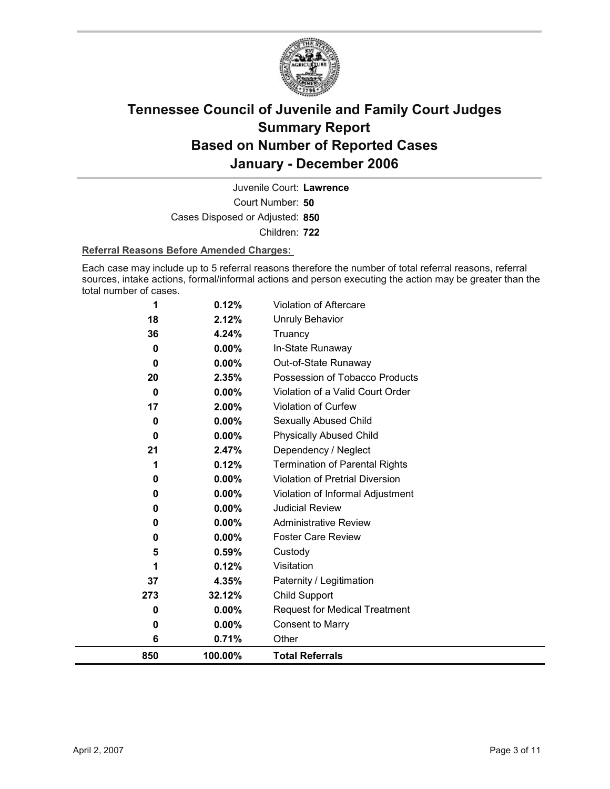

Court Number: **50** Juvenile Court: **Lawrence** Cases Disposed or Adjusted: **850** Children: **722**

### **Referral Reasons Before Amended Charges:**

Each case may include up to 5 referral reasons therefore the number of total referral reasons, referral sources, intake actions, formal/informal actions and person executing the action may be greater than the total number of cases.

| 850 | 100.00%            | <b>Total Referrals</b>                   |
|-----|--------------------|------------------------------------------|
|     | 6<br>0.71%         | Other                                    |
|     | 0.00%<br>0         | <b>Consent to Marry</b>                  |
|     | 0.00%<br>0         | <b>Request for Medical Treatment</b>     |
| 273 | 32.12%             | <b>Child Support</b>                     |
| 37  | 4.35%              | Paternity / Legitimation                 |
|     | 0.12%<br>1         | Visitation                               |
|     | 5<br>0.59%         | Custody                                  |
|     | $0.00\%$<br>0      | <b>Foster Care Review</b>                |
|     | 0.00%<br>0         | <b>Administrative Review</b>             |
|     | 0.00%<br>0         | <b>Judicial Review</b>                   |
|     | 0.00%<br>0         | Violation of Informal Adjustment         |
|     | 0.00%<br>0         | <b>Violation of Pretrial Diversion</b>   |
|     | 0.12%<br>1         | <b>Termination of Parental Rights</b>    |
| 21  | 2.47%              | Dependency / Neglect                     |
|     | 0.00%<br>0         | <b>Physically Abused Child</b>           |
|     | 0.00%<br>0         | Sexually Abused Child                    |
| 17  | 2.00%              | Violation of Curfew                      |
|     | 0.00%<br>0         | Violation of a Valid Court Order         |
| 20  | 2.35%              | Possession of Tobacco Products           |
|     | 0<br>$0.00\%$<br>0 | In-State Runaway<br>Out-of-State Runaway |
| 36  | 4.24%<br>0.00%     | Truancy                                  |
| 18  | 2.12%              | <b>Unruly Behavior</b>                   |
|     | 0.12%<br>1         | <b>Violation of Aftercare</b>            |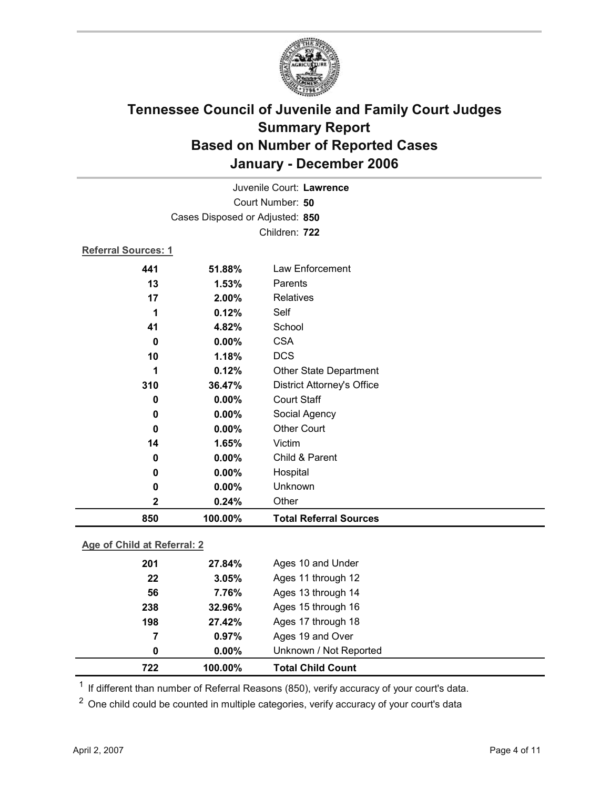

|                            |                                 | Juvenile Court: Lawrence          |  |
|----------------------------|---------------------------------|-----------------------------------|--|
| Court Number: 50           |                                 |                                   |  |
|                            | Cases Disposed or Adjusted: 850 |                                   |  |
| Children: 722              |                                 |                                   |  |
| <b>Referral Sources: 1</b> |                                 |                                   |  |
| 441                        | 51.88%                          | Law Enforcement                   |  |
| 13                         | 1.53%                           | Parents                           |  |
| 17                         | 2.00%                           | <b>Relatives</b>                  |  |
| 1                          | 0.12%                           | Self                              |  |
| 41                         | 4.82%                           | School                            |  |
| $\bf{0}$                   | $0.00\%$                        | <b>CSA</b>                        |  |
| 10                         | 1.18%                           | <b>DCS</b>                        |  |
| 1                          | 0.12%                           | <b>Other State Department</b>     |  |
| 310                        | 36.47%                          | <b>District Attorney's Office</b> |  |
| 0                          | 0.00%                           | <b>Court Staff</b>                |  |
| 0                          | $0.00\%$                        | Social Agency                     |  |
| $\bf{0}$                   | 0.00%                           | <b>Other Court</b>                |  |
| 14                         | 1.65%                           | Victim                            |  |
| 0                          | 0.00%                           | Child & Parent                    |  |
| 0                          | $0.00\%$                        | Hospital                          |  |
| 0                          | 0.00%                           | Unknown                           |  |
| $\mathbf 2$                | 0.24%                           | Other                             |  |
| 850                        | 100.00%                         | <b>Total Referral Sources</b>     |  |
|                            |                                 |                                   |  |

### **Age of Child at Referral: 2**

| 722 | 100.00%  | <b>Total Child Count</b> |  |
|-----|----------|--------------------------|--|
| 0   | $0.00\%$ | Unknown / Not Reported   |  |
| 7   | 0.97%    | Ages 19 and Over         |  |
| 198 | 27.42%   | Ages 17 through 18       |  |
| 238 | 32.96%   | Ages 15 through 16       |  |
| 56  | 7.76%    | Ages 13 through 14       |  |
| 22  | 3.05%    | Ages 11 through 12       |  |
| 201 | 27.84%   | Ages 10 and Under        |  |
|     |          |                          |  |

<sup>1</sup> If different than number of Referral Reasons (850), verify accuracy of your court's data.

<sup>2</sup> One child could be counted in multiple categories, verify accuracy of your court's data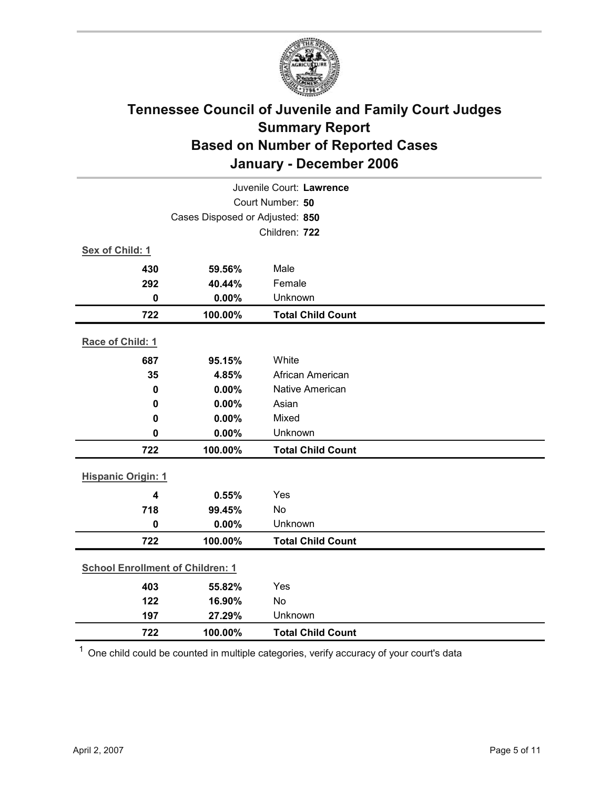

| Juvenile Court: Lawrence                |                                 |                          |  |  |
|-----------------------------------------|---------------------------------|--------------------------|--|--|
| Court Number: 50                        |                                 |                          |  |  |
|                                         | Cases Disposed or Adjusted: 850 |                          |  |  |
|                                         |                                 | Children: 722            |  |  |
| Sex of Child: 1                         |                                 |                          |  |  |
| 430                                     | 59.56%                          | Male                     |  |  |
| 292                                     | 40.44%                          | Female                   |  |  |
| $\mathbf 0$                             | 0.00%                           | Unknown                  |  |  |
| 722                                     | 100.00%                         | <b>Total Child Count</b> |  |  |
| Race of Child: 1                        |                                 |                          |  |  |
| 687                                     | 95.15%                          | White                    |  |  |
| 35                                      | 4.85%                           | African American         |  |  |
| 0                                       | 0.00%                           | <b>Native American</b>   |  |  |
| 0                                       | 0.00%                           | Asian                    |  |  |
| 0                                       | 0.00%                           | Mixed                    |  |  |
| $\mathbf 0$                             | 0.00%                           | Unknown                  |  |  |
| 722                                     | 100.00%                         | <b>Total Child Count</b> |  |  |
| <b>Hispanic Origin: 1</b>               |                                 |                          |  |  |
| 4                                       | 0.55%                           | Yes                      |  |  |
| 718                                     | 99.45%                          | <b>No</b>                |  |  |
| $\mathbf 0$                             | 0.00%                           | Unknown                  |  |  |
| 722                                     | 100.00%                         | <b>Total Child Count</b> |  |  |
| <b>School Enrollment of Children: 1</b> |                                 |                          |  |  |
| 403                                     | 55.82%                          | Yes                      |  |  |
| 122                                     | 16.90%                          | No                       |  |  |
| 197                                     | 27.29%                          | Unknown                  |  |  |
| 722                                     | 100.00%                         | <b>Total Child Count</b> |  |  |

 $1$  One child could be counted in multiple categories, verify accuracy of your court's data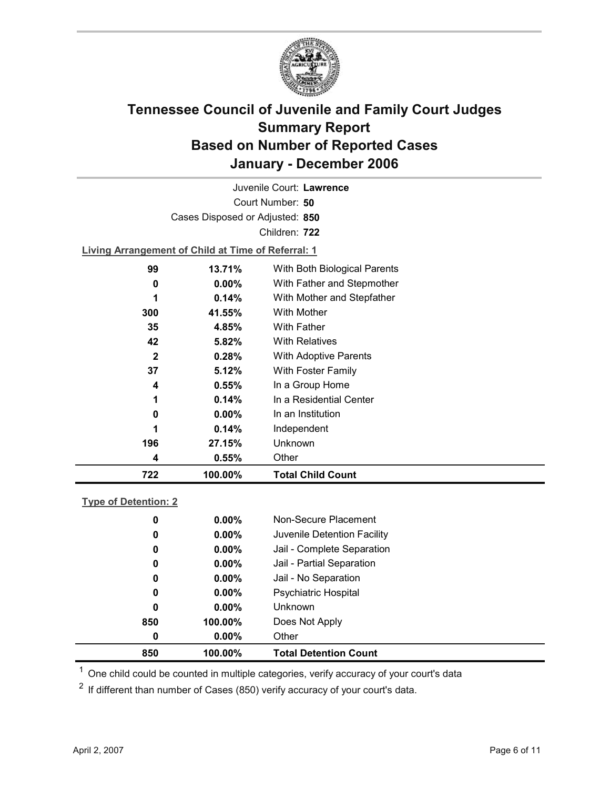

Court Number: **50** Juvenile Court: **Lawrence** Cases Disposed or Adjusted: **850** Children: **722**

**Living Arrangement of Child at Time of Referral: 1**

| 722         | 100.00%  | <b>Total Child Count</b>     |
|-------------|----------|------------------------------|
| 4           | 0.55%    | Other                        |
| 196         | 27.15%   | Unknown                      |
| 1           | 0.14%    | Independent                  |
| 0           | $0.00\%$ | In an Institution            |
| 1           | 0.14%    | In a Residential Center      |
| 4           | $0.55\%$ | In a Group Home              |
| 37          | 5.12%    | With Foster Family           |
| $\mathbf 2$ | 0.28%    | <b>With Adoptive Parents</b> |
| 42          | 5.82%    | <b>With Relatives</b>        |
| 35          | 4.85%    | With Father                  |
| 300         | 41.55%   | With Mother                  |
| 1           | 0.14%    | With Mother and Stepfather   |
| 0           | $0.00\%$ | With Father and Stepmother   |
| 99          | 13.71%   | With Both Biological Parents |
|             |          |                              |

### **Type of Detention: 2**

| 850 | 100.00%  | <b>Total Detention Count</b> |  |
|-----|----------|------------------------------|--|
| 0   | $0.00\%$ | Other                        |  |
| 850 | 100.00%  | Does Not Apply               |  |
| 0   | $0.00\%$ | <b>Unknown</b>               |  |
| 0   | $0.00\%$ | <b>Psychiatric Hospital</b>  |  |
| 0   | $0.00\%$ | Jail - No Separation         |  |
| 0   | $0.00\%$ | Jail - Partial Separation    |  |
| 0   | $0.00\%$ | Jail - Complete Separation   |  |
| 0   | $0.00\%$ | Juvenile Detention Facility  |  |
| 0   | $0.00\%$ | Non-Secure Placement         |  |
|     |          |                              |  |

 $<sup>1</sup>$  One child could be counted in multiple categories, verify accuracy of your court's data</sup>

 $2$  If different than number of Cases (850) verify accuracy of your court's data.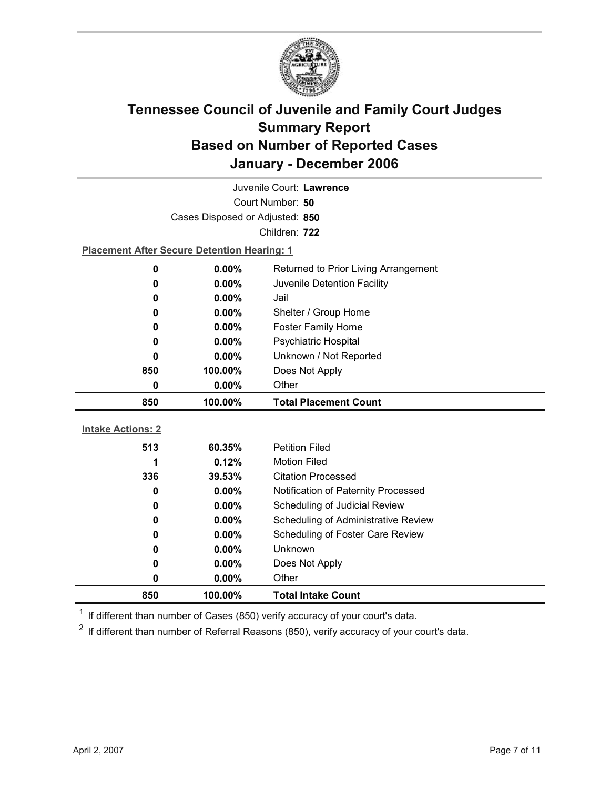

| Juvenile Court: Lawrence |                                                    |                                     |  |
|--------------------------|----------------------------------------------------|-------------------------------------|--|
|                          | Court Number: 50                                   |                                     |  |
|                          | Cases Disposed or Adjusted: 850                    |                                     |  |
|                          |                                                    | Children: 722                       |  |
|                          | <b>Placement After Secure Detention Hearing: 1</b> |                                     |  |
| 0                        | 0.00%<br>Returned to Prior Living Arrangement      |                                     |  |
| 0                        | $0.00\%$                                           | Juvenile Detention Facility         |  |
| 0                        | 0.00%                                              | Jail                                |  |
| 0                        | $0.00\%$                                           | Shelter / Group Home                |  |
| 0                        | 0.00%                                              | <b>Foster Family Home</b>           |  |
| 0                        | 0.00%                                              | Psychiatric Hospital                |  |
| 0                        | $0.00\%$                                           | Unknown / Not Reported              |  |
| 850                      | 100.00%                                            | Does Not Apply                      |  |
| 0                        | 0.00%                                              | Other                               |  |
|                          |                                                    |                                     |  |
| 850                      | 100.00%                                            | <b>Total Placement Count</b>        |  |
|                          |                                                    |                                     |  |
| <b>Intake Actions: 2</b> |                                                    |                                     |  |
| 513                      | 60.35%                                             | <b>Petition Filed</b>               |  |
| 1                        | 0.12%                                              | <b>Motion Filed</b>                 |  |
| 336                      | 39.53%                                             | <b>Citation Processed</b>           |  |
| 0                        | $0.00\%$                                           | Notification of Paternity Processed |  |
| 0                        | $0.00\%$                                           | Scheduling of Judicial Review       |  |
| 0                        | 0.00%                                              | Scheduling of Administrative Review |  |
| 0                        | 0.00%                                              | Scheduling of Foster Care Review    |  |
| 0                        | $0.00\%$                                           | Unknown                             |  |
| 0<br>0                   | $0.00\%$<br>0.00%                                  | Does Not Apply<br>Other             |  |

 $1$  If different than number of Cases (850) verify accuracy of your court's data.

 $2$  If different than number of Referral Reasons (850), verify accuracy of your court's data.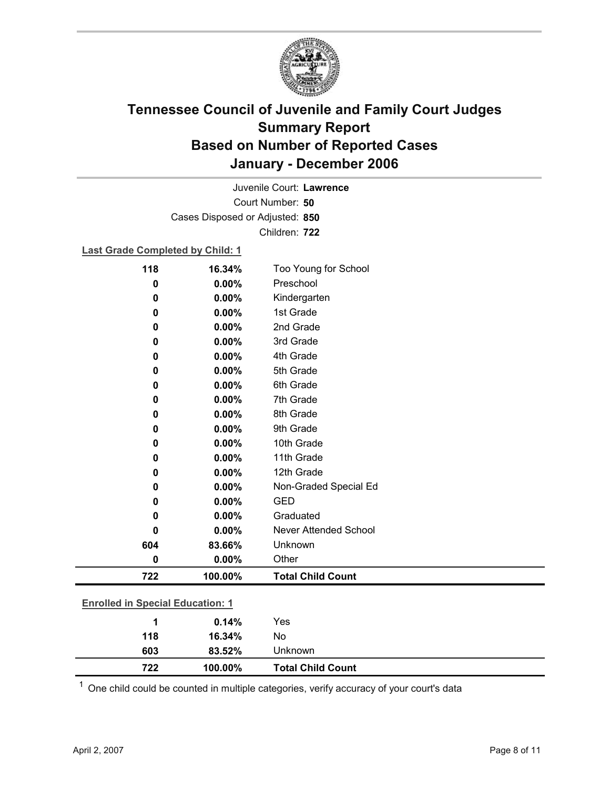

Court Number: **50** Juvenile Court: **Lawrence** Cases Disposed or Adjusted: **850** Children: **722**

### **Last Grade Completed by Child: 1**

| 118                                     | 16.34%  | Too Young for School     |  |
|-----------------------------------------|---------|--------------------------|--|
| $\mathbf 0$                             | 0.00%   | Preschool                |  |
| 0                                       | 0.00%   | Kindergarten             |  |
| 0                                       | 0.00%   | 1st Grade                |  |
| 0                                       | 0.00%   | 2nd Grade                |  |
| 0                                       | 0.00%   | 3rd Grade                |  |
| 0                                       | 0.00%   | 4th Grade                |  |
| 0                                       | 0.00%   | 5th Grade                |  |
| 0                                       | 0.00%   | 6th Grade                |  |
| 0                                       | 0.00%   | 7th Grade                |  |
| 0                                       | 0.00%   | 8th Grade                |  |
| 0                                       | 0.00%   | 9th Grade                |  |
| 0                                       | 0.00%   | 10th Grade               |  |
| 0                                       | 0.00%   | 11th Grade               |  |
| 0                                       | 0.00%   | 12th Grade               |  |
| 0                                       | 0.00%   | Non-Graded Special Ed    |  |
| 0                                       | 0.00%   | <b>GED</b>               |  |
| 0                                       | 0.00%   | Graduated                |  |
| 0                                       | 0.00%   | Never Attended School    |  |
| 604                                     | 83.66%  | Unknown                  |  |
| $\pmb{0}$                               | 0.00%   | Other                    |  |
| 722                                     | 100.00% | <b>Total Child Count</b> |  |
| <b>Enrolled in Special Education: 1</b> |         |                          |  |
| 1                                       | 0.14%   | Yes                      |  |
| 118                                     | 16.34%  | No                       |  |
| 603                                     | 83.52%  | Unknown                  |  |

 $1$  One child could be counted in multiple categories, verify accuracy of your court's data

**722 100.00% Total Child Count**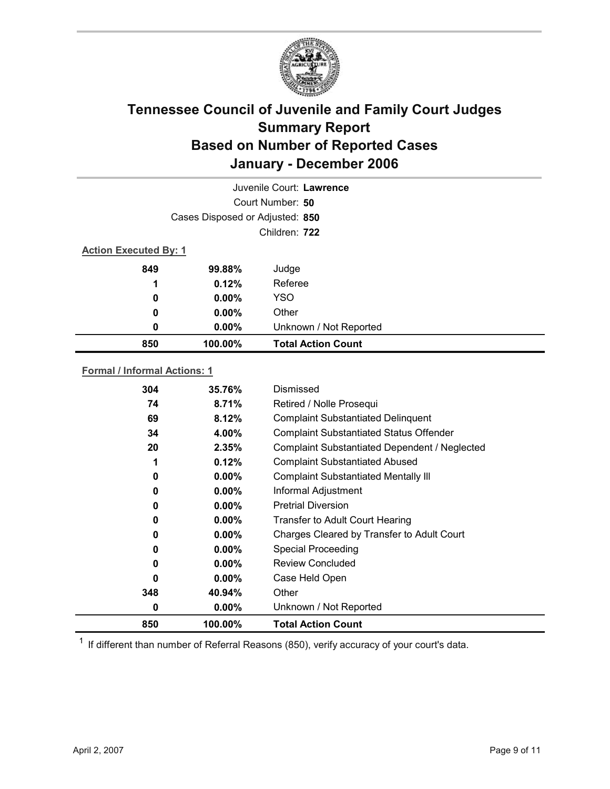

| Juvenile Court: Lawrence     |                                 |                           |  |
|------------------------------|---------------------------------|---------------------------|--|
|                              |                                 | Court Number: 50          |  |
|                              | Cases Disposed or Adjusted: 850 |                           |  |
| Children: 722                |                                 |                           |  |
| <b>Action Executed By: 1</b> |                                 |                           |  |
| 849                          | 99.88%                          | Judge                     |  |
| 1                            | 0.12%                           | Referee                   |  |
| $\bf{0}$                     | $0.00\%$                        | <b>YSO</b>                |  |
| 0                            | $0.00\%$                        | Other                     |  |
| 0                            | $0.00\%$                        | Unknown / Not Reported    |  |
| 850                          | 100.00%                         | <b>Total Action Count</b> |  |
|                              |                                 |                           |  |

### **Formal / Informal Actions: 1**

| 304 | 35.76%   | Dismissed                                      |
|-----|----------|------------------------------------------------|
| 74  | 8.71%    | Retired / Nolle Prosequi                       |
| 69  | 8.12%    | <b>Complaint Substantiated Delinquent</b>      |
| 34  | 4.00%    | <b>Complaint Substantiated Status Offender</b> |
| 20  | 2.35%    | Complaint Substantiated Dependent / Neglected  |
| 1   | 0.12%    | <b>Complaint Substantiated Abused</b>          |
| 0   | $0.00\%$ | <b>Complaint Substantiated Mentally III</b>    |
| 0   | $0.00\%$ | Informal Adjustment                            |
| 0   | $0.00\%$ | <b>Pretrial Diversion</b>                      |
| 0   | $0.00\%$ | Transfer to Adult Court Hearing                |
| 0   | $0.00\%$ | Charges Cleared by Transfer to Adult Court     |
| 0   | $0.00\%$ | <b>Special Proceeding</b>                      |
| 0   | $0.00\%$ | <b>Review Concluded</b>                        |
| 0   | $0.00\%$ | Case Held Open                                 |
| 348 | 40.94%   | Other                                          |
| 0   | $0.00\%$ | Unknown / Not Reported                         |
| 850 | 100.00%  | <b>Total Action Count</b>                      |

 $1$  If different than number of Referral Reasons (850), verify accuracy of your court's data.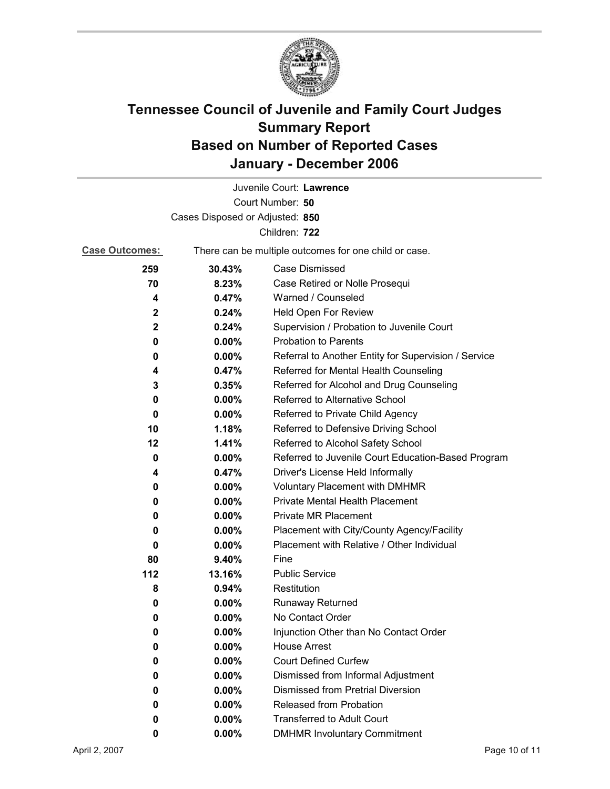

|                                 |                                                       | Juvenile Court: Lawrence                             |
|---------------------------------|-------------------------------------------------------|------------------------------------------------------|
|                                 |                                                       | Court Number: 50                                     |
| Cases Disposed or Adjusted: 850 |                                                       |                                                      |
|                                 |                                                       | Children: 722                                        |
| <b>Case Outcomes:</b>           | There can be multiple outcomes for one child or case. |                                                      |
| 259                             | 30.43%                                                | <b>Case Dismissed</b>                                |
| 70                              | 8.23%                                                 | Case Retired or Nolle Prosequi                       |
| 4                               | 0.47%                                                 | Warned / Counseled                                   |
| $\mathbf{2}$                    | 0.24%                                                 | Held Open For Review                                 |
| $\mathbf 2$                     | 0.24%                                                 | Supervision / Probation to Juvenile Court            |
| 0                               | $0.00\%$                                              | <b>Probation to Parents</b>                          |
| 0                               | $0.00\%$                                              | Referral to Another Entity for Supervision / Service |
| 4                               | 0.47%                                                 | Referred for Mental Health Counseling                |
| 3                               | 0.35%                                                 | Referred for Alcohol and Drug Counseling             |
| 0                               | 0.00%                                                 | Referred to Alternative School                       |
| 0                               | $0.00\%$                                              | Referred to Private Child Agency                     |
| 10                              | 1.18%                                                 | Referred to Defensive Driving School                 |
| 12                              | 1.41%                                                 | Referred to Alcohol Safety School                    |
| 0                               | $0.00\%$                                              | Referred to Juvenile Court Education-Based Program   |
| 4                               | 0.47%                                                 | Driver's License Held Informally                     |
| 0                               | $0.00\%$                                              | <b>Voluntary Placement with DMHMR</b>                |
| 0                               | $0.00\%$                                              | <b>Private Mental Health Placement</b>               |
| 0                               | $0.00\%$                                              | <b>Private MR Placement</b>                          |
| 0                               | $0.00\%$                                              | Placement with City/County Agency/Facility           |
| 0                               | $0.00\%$                                              | Placement with Relative / Other Individual           |
| 80                              | 9.40%                                                 | Fine                                                 |
| 112                             | 13.16%                                                | <b>Public Service</b>                                |
| 8                               | 0.94%                                                 | Restitution                                          |
| 0                               | $0.00\%$                                              | <b>Runaway Returned</b>                              |
| 0                               | $0.00\%$                                              | No Contact Order                                     |
| 0                               | 0.00%                                                 | Injunction Other than No Contact Order               |
| 0                               | 0.00%                                                 | <b>House Arrest</b>                                  |
| 0                               | $0.00\%$                                              | <b>Court Defined Curfew</b>                          |
| 0                               | 0.00%                                                 | Dismissed from Informal Adjustment                   |
| 0                               | $0.00\%$                                              | <b>Dismissed from Pretrial Diversion</b>             |
| 0                               | 0.00%                                                 | Released from Probation                              |
| 0                               | $0.00\%$                                              | <b>Transferred to Adult Court</b>                    |
| 0                               | $0.00\%$                                              | <b>DMHMR Involuntary Commitment</b>                  |